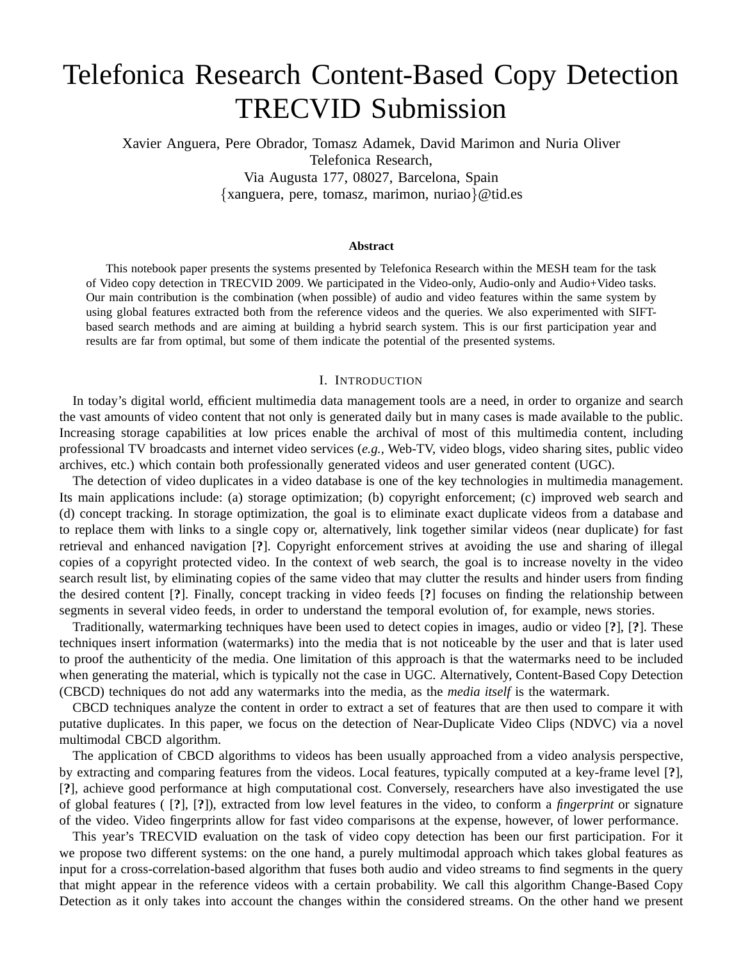# Telefonica Research Content-Based Copy Detection TRECVID Submission

Xavier Anguera, Pere Obrador, Tomasz Adamek, David Marimon and Nuria Oliver Telefonica Research, Via Augusta 177, 08027, Barcelona, Spain {xanguera, pere, tomasz, marimon, nuriao}@tid.es

#### **Abstract**

This notebook paper presents the systems presented by Telefonica Research within the MESH team for the task of Video copy detection in TRECVID 2009. We participated in the Video-only, Audio-only and Audio+Video tasks. Our main contribution is the combination (when possible) of audio and video features within the same system by using global features extracted both from the reference videos and the queries. We also experimented with SIFTbased search methods and are aiming at building a hybrid search system. This is our first participation year and results are far from optimal, but some of them indicate the potential of the presented systems.

## I. INTRODUCTION

In today's digital world, efficient multimedia data management tools are a need, in order to organize and search the vast amounts of video content that not only is generated daily but in many cases is made available to the public. Increasing storage capabilities at low prices enable the archival of most of this multimedia content, including professional TV broadcasts and internet video services (*e.g.,* Web-TV, video blogs, video sharing sites, public video archives, etc.) which contain both professionally generated videos and user generated content (UGC).

The detection of video duplicates in a video database is one of the key technologies in multimedia management. Its main applications include: (a) storage optimization; (b) copyright enforcement; (c) improved web search and (d) concept tracking. In storage optimization, the goal is to eliminate exact duplicate videos from a database and to replace them with links to a single copy or, alternatively, link together similar videos (near duplicate) for fast retrieval and enhanced navigation [**?**]. Copyright enforcement strives at avoiding the use and sharing of illegal copies of a copyright protected video. In the context of web search, the goal is to increase novelty in the video search result list, by eliminating copies of the same video that may clutter the results and hinder users from finding the desired content [**?**]. Finally, concept tracking in video feeds [**?**] focuses on finding the relationship between segments in several video feeds, in order to understand the temporal evolution of, for example, news stories.

Traditionally, watermarking techniques have been used to detect copies in images, audio or video [**?**], [**?**]. These techniques insert information (watermarks) into the media that is not noticeable by the user and that is later used to proof the authenticity of the media. One limitation of this approach is that the watermarks need to be included when generating the material, which is typically not the case in UGC. Alternatively, Content-Based Copy Detection (CBCD) techniques do not add any watermarks into the media, as the *media itself* is the watermark.

CBCD techniques analyze the content in order to extract a set of features that are then used to compare it with putative duplicates. In this paper, we focus on the detection of Near-Duplicate Video Clips (NDVC) via a novel multimodal CBCD algorithm.

The application of CBCD algorithms to videos has been usually approached from a video analysis perspective, by extracting and comparing features from the videos. Local features, typically computed at a key-frame level [**?**], [**?**], achieve good performance at high computational cost. Conversely, researchers have also investigated the use of global features ( [**?**], [**?**]), extracted from low level features in the video, to conform a *fingerprint* or signature of the video. Video fingerprints allow for fast video comparisons at the expense, however, of lower performance.

This year's TRECVID evaluation on the task of video copy detection has been our first participation. For it we propose two different systems: on the one hand, a purely multimodal approach which takes global features as input for a cross-correlation-based algorithm that fuses both audio and video streams to find segments in the query that might appear in the reference videos with a certain probability. We call this algorithm Change-Based Copy Detection as it only takes into account the changes within the considered streams. On the other hand we present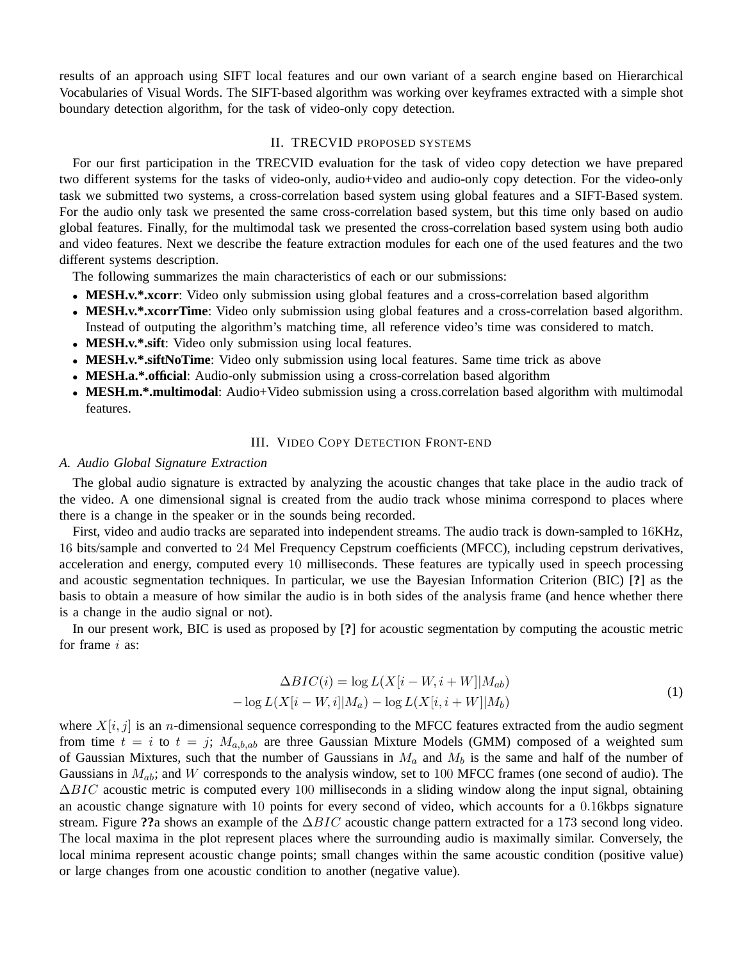results of an approach using SIFT local features and our own variant of a search engine based on Hierarchical Vocabularies of Visual Words. The SIFT-based algorithm was working over keyframes extracted with a simple shot boundary detection algorithm, for the task of video-only copy detection.

## II. TRECVID PROPOSED SYSTEMS

For our first participation in the TRECVID evaluation for the task of video copy detection we have prepared two different systems for the tasks of video-only, audio+video and audio-only copy detection. For the video-only task we submitted two systems, a cross-correlation based system using global features and a SIFT-Based system. For the audio only task we presented the same cross-correlation based system, but this time only based on audio global features. Finally, for the multimodal task we presented the cross-correlation based system using both audio and video features. Next we describe the feature extraction modules for each one of the used features and the two different systems description.

The following summarizes the main characteristics of each or our submissions:

- **MESH.v.\*.xcorr**: Video only submission using global features and a cross-correlation based algorithm
- **MESH.v.\*.xcorrTime**: Video only submission using global features and a cross-correlation based algorithm. Instead of outputing the algorithm's matching time, all reference video's time was considered to match.
- **MESH.v.\*.sift**: Video only submission using local features.
- **MESH.v.\*.siftNoTime**: Video only submission using local features. Same time trick as above
- **MESH.a.\*.official**: Audio-only submission using a cross-correlation based algorithm
- **MESH.m.\*.multimodal**: Audio+Video submission using a cross.correlation based algorithm with multimodal features.

## III. VIDEO COPY DETECTION FRONT-END

## *A. Audio Global Signature Extraction*

The global audio signature is extracted by analyzing the acoustic changes that take place in the audio track of the video. A one dimensional signal is created from the audio track whose minima correspond to places where there is a change in the speaker or in the sounds being recorded.

First, video and audio tracks are separated into independent streams. The audio track is down-sampled to 16KHz, 16 bits/sample and converted to 24 Mel Frequency Cepstrum coefficients (MFCC), including cepstrum derivatives, acceleration and energy, computed every 10 milliseconds. These features are typically used in speech processing and acoustic segmentation techniques. In particular, we use the Bayesian Information Criterion (BIC) [**?**] as the basis to obtain a measure of how similar the audio is in both sides of the analysis frame (and hence whether there is a change in the audio signal or not).

In our present work, BIC is used as proposed by [**?**] for acoustic segmentation by computing the acoustic metric for frame *i* as:

$$
\Delta BIC(i) = \log L(X[i - W, i + W]|M_{ab})
$$

$$
- \log L(X[i - W, i]|M_a) - \log L(X[i, i + W]|M_b)
$$
(1)

where  $X[i, j]$  is an *n*-dimensional sequence corresponding to the MFCC features extracted from the audio segment from time  $t = i$  to  $t = j$ ;  $M_{a,b,ab}$  are three Gaussian Mixture Models (GMM) composed of a weighted sum of Gaussian Mixtures, such that the number of Gaussians in  $M_a$  and  $M_b$  is the same and half of the number of Gaussians in  $M_{ab}$ ; and W corresponds to the analysis window, set to 100 MFCC frames (one second of audio). The  $\Delta BIC$  acoustic metric is computed every 100 milliseconds in a sliding window along the input signal, obtaining an acoustic change signature with 10 points for every second of video, which accounts for a 0.16kbps signature stream. Figure **??**a shows an example of the ∆BIC acoustic change pattern extracted for a 173 second long video. The local maxima in the plot represent places where the surrounding audio is maximally similar. Conversely, the local minima represent acoustic change points; small changes within the same acoustic condition (positive value) or large changes from one acoustic condition to another (negative value).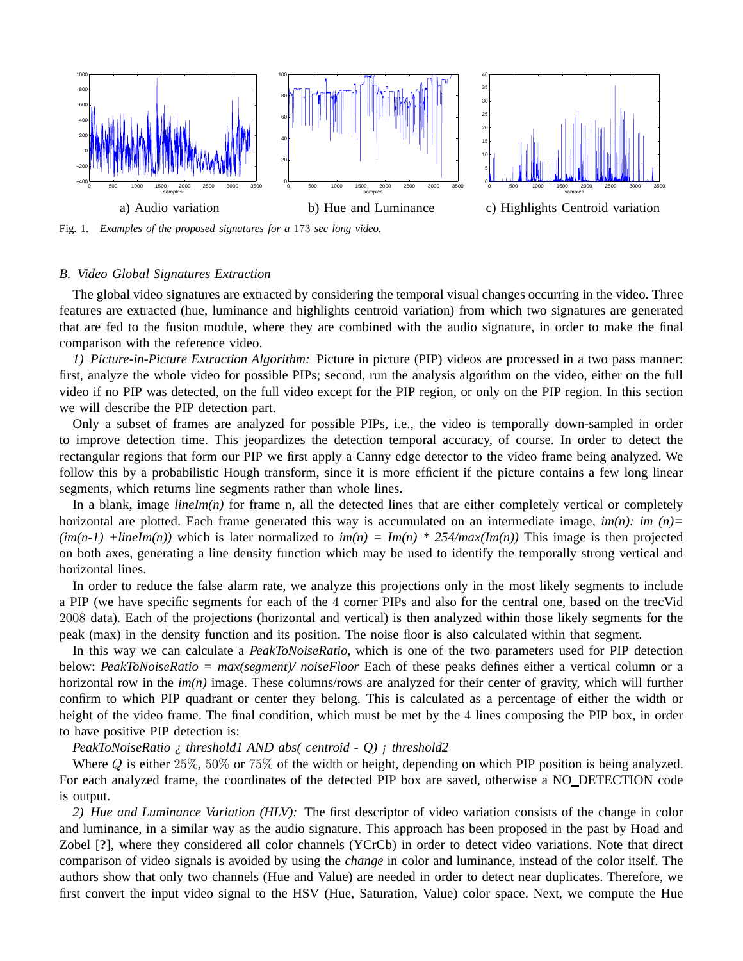

Fig. 1. *Examples of the proposed signatures for a* 173 *sec long video.*

## *B. Video Global Signatures Extraction*

The global video signatures are extracted by considering the temporal visual changes occurring in the video. Three features are extracted (hue, luminance and highlights centroid variation) from which two signatures are generated that are fed to the fusion module, where they are combined with the audio signature, in order to make the final comparison with the reference video.

*1) Picture-in-Picture Extraction Algorithm:* Picture in picture (PIP) videos are processed in a two pass manner: first, analyze the whole video for possible PIPs; second, run the analysis algorithm on the video, either on the full video if no PIP was detected, on the full video except for the PIP region, or only on the PIP region. In this section we will describe the PIP detection part.

Only a subset of frames are analyzed for possible PIPs, i.e., the video is temporally down-sampled in order to improve detection time. This jeopardizes the detection temporal accuracy, of course. In order to detect the rectangular regions that form our PIP we first apply a Canny edge detector to the video frame being analyzed. We follow this by a probabilistic Hough transform, since it is more efficient if the picture contains a few long linear segments, which returns line segments rather than whole lines.

In a blank, image  $\lim_{n \to \infty}$  for frame n, all the detected lines that are either completely vertical or completely horizontal are plotted. Each frame generated this way is accumulated on an intermediate image, *im(n)*: *im (n)*=  $(im(n-1)$  +*lineIm(n)*) which is later normalized to  $im(n) = Im(n) * 254/max(Im(n))$  This image is then projected on both axes, generating a line density function which may be used to identify the temporally strong vertical and horizontal lines.

In order to reduce the false alarm rate, we analyze this projections only in the most likely segments to include a PIP (we have specific segments for each of the 4 corner PIPs and also for the central one, based on the trecVid 2008 data). Each of the projections (horizontal and vertical) is then analyzed within those likely segments for the peak (max) in the density function and its position. The noise floor is also calculated within that segment.

In this way we can calculate a *PeakToNoiseRatio*, which is one of the two parameters used for PIP detection below: *PeakToNoiseRatio = max(segment)/ noiseFloor* Each of these peaks defines either a vertical column or a horizontal row in the *im(n)* image. These columns/rows are analyzed for their center of gravity, which will further confirm to which PIP quadrant or center they belong. This is calculated as a percentage of either the width or height of the video frame. The final condition, which must be met by the 4 lines composing the PIP box, in order to have positive PIP detection is:

*PeakToNoiseRatio ¿ threshold1 AND abs( centroid - Q) ¡ threshold2*

Where Q is either 25%, 50% or 75% of the width or height, depending on which PIP position is being analyzed. For each analyzed frame, the coordinates of the detected PIP box are saved, otherwise a NO\_DETECTION code is output.

*2) Hue and Luminance Variation (HLV):* The first descriptor of video variation consists of the change in color and luminance, in a similar way as the audio signature. This approach has been proposed in the past by Hoad and Zobel [**?**], where they considered all color channels (YCrCb) in order to detect video variations. Note that direct comparison of video signals is avoided by using the *change* in color and luminance, instead of the color itself. The authors show that only two channels (Hue and Value) are needed in order to detect near duplicates. Therefore, we first convert the input video signal to the HSV (Hue, Saturation, Value) color space. Next, we compute the Hue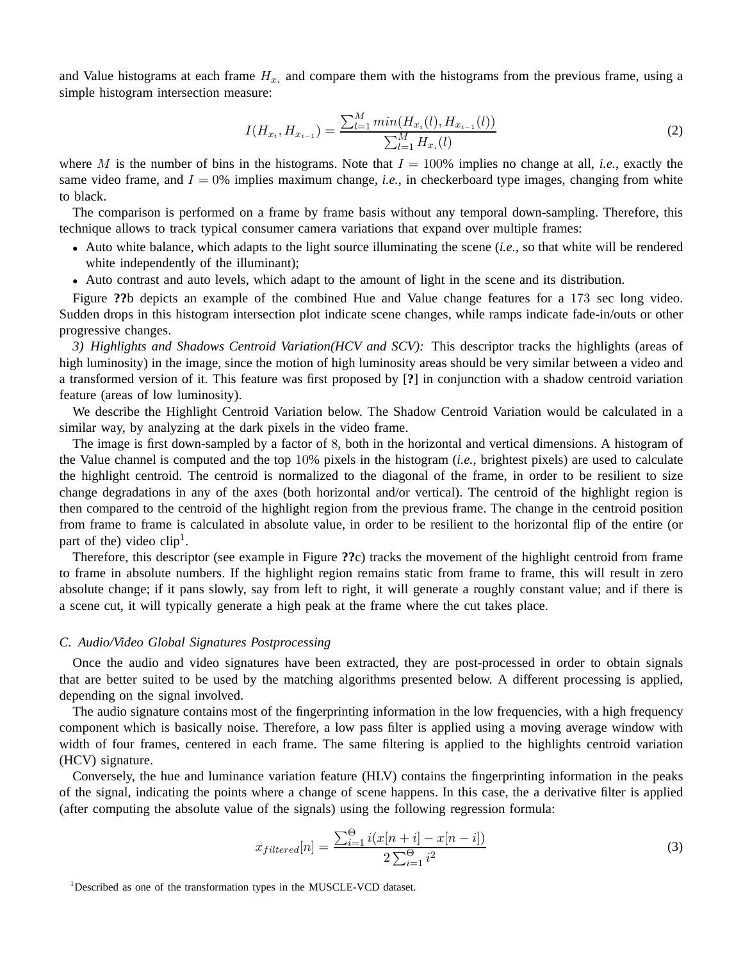and Value histograms at each frame  $H_{x_i}$  and compare them with the histograms from the previous frame, using a simple histogram intersection measure:

$$
I(H_{x_i}, H_{x_{i-1}}) = \frac{\sum_{l=1}^{M} \min(H_{x_i}(l), H_{x_{i-1}}(l))}{\sum_{l=1}^{M} H_{x_i}(l)}
$$
(2)

where M is the number of bins in the histograms. Note that  $I = 100\%$  implies no change at all, *i.e.*, exactly the same video frame, and  $I = 0\%$  implies maximum change, *i.e.*, in checkerboard type images, changing from white to black.

The comparison is performed on a frame by frame basis without any temporal down-sampling. Therefore, this technique allows to track typical consumer camera variations that expand over multiple frames:

- Auto white balance, which adapts to the light source illuminating the scene (*i.e.*, so that white will be rendered white independently of the illuminant);
- Auto contrast and auto levels, which adapt to the amount of light in the scene and its distribution.

Figure **??**b depicts an example of the combined Hue and Value change features for a 173 sec long video. Sudden drops in this histogram intersection plot indicate scene changes, while ramps indicate fade-in/outs or other progressive changes.

*3) Highlights and Shadows Centroid Variation(HCV and SCV):* This descriptor tracks the highlights (areas of high luminosity) in the image, since the motion of high luminosity areas should be very similar between a video and a transformed version of it. This feature was first proposed by [**?**] in conjunction with a shadow centroid variation feature (areas of low luminosity).

We describe the Highlight Centroid Variation below. The Shadow Centroid Variation would be calculated in a similar way, by analyzing at the dark pixels in the video frame.

The image is first down-sampled by a factor of 8, both in the horizontal and vertical dimensions. A histogram of the Value channel is computed and the top 10% pixels in the histogram (*i.e.*, brightest pixels) are used to calculate the highlight centroid. The centroid is normalized to the diagonal of the frame, in order to be resilient to size change degradations in any of the axes (both horizontal and/or vertical). The centroid of the highlight region is then compared to the centroid of the highlight region from the previous frame. The change in the centroid position from frame to frame is calculated in absolute value, in order to be resilient to the horizontal flip of the entire (or part of the) video  $clip<sup>1</sup>$ .

Therefore, this descriptor (see example in Figure **??**c) tracks the movement of the highlight centroid from frame to frame in absolute numbers. If the highlight region remains static from frame to frame, this will result in zero absolute change; if it pans slowly, say from left to right, it will generate a roughly constant value; and if there is a scene cut, it will typically generate a high peak at the frame where the cut takes place.

### *C. Audio/Video Global Signatures Postprocessing*

Once the audio and video signatures have been extracted, they are post-processed in order to obtain signals that are better suited to be used by the matching algorithms presented below. A different processing is applied, depending on the signal involved.

The audio signature contains most of the fingerprinting information in the low frequencies, with a high frequency component which is basically noise. Therefore, a low pass filter is applied using a moving average window with width of four frames, centered in each frame. The same filtering is applied to the highlights centroid variation (HCV) signature.

Conversely, the hue and luminance variation feature (HLV) contains the fingerprinting information in the peaks of the signal, indicating the points where a change of scene happens. In this case, the a derivative filter is applied (after computing the absolute value of the signals) using the following regression formula:

$$
x_{filtered}[n] = \frac{\sum_{i=1}^{0} i(x[n+i] - x[n-i])}{2\sum_{i=1}^{0} i^2}
$$
\n(3)

<sup>&</sup>lt;sup>1</sup>Described as one of the transformation types in the MUSCLE-VCD dataset.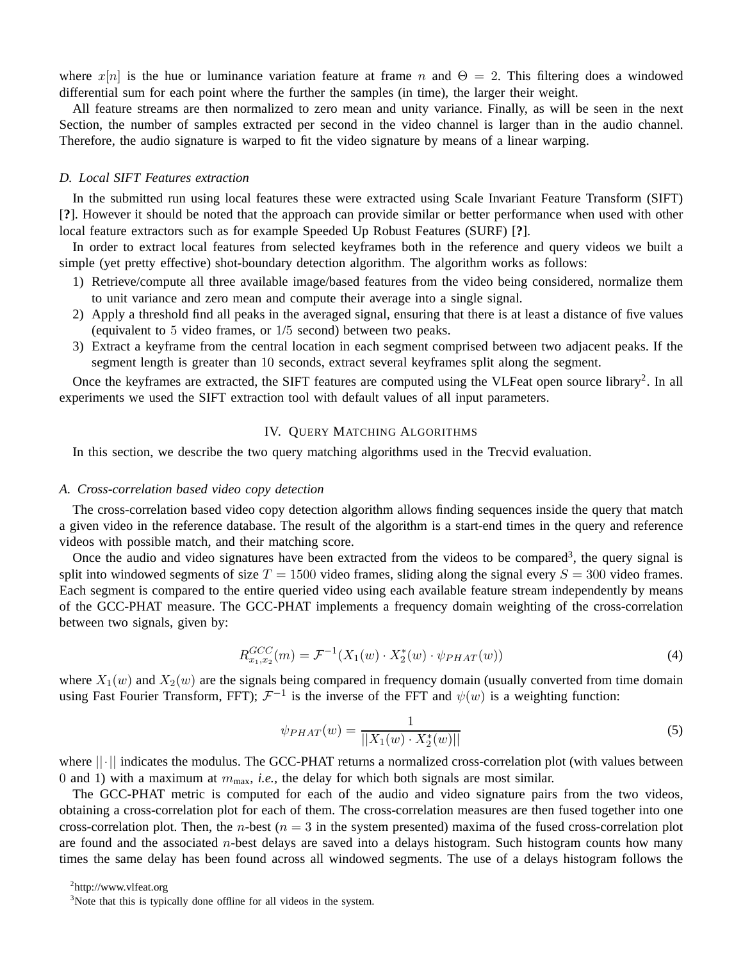where  $x[n]$  is the hue or luminance variation feature at frame n and  $\Theta = 2$ . This filtering does a windowed differential sum for each point where the further the samples (in time), the larger their weight.

All feature streams are then normalized to zero mean and unity variance. Finally, as will be seen in the next Section, the number of samples extracted per second in the video channel is larger than in the audio channel. Therefore, the audio signature is warped to fit the video signature by means of a linear warping.

## *D. Local SIFT Features extraction*

In the submitted run using local features these were extracted using Scale Invariant Feature Transform (SIFT) [**?**]. However it should be noted that the approach can provide similar or better performance when used with other local feature extractors such as for example Speeded Up Robust Features (SURF) [**?**].

In order to extract local features from selected keyframes both in the reference and query videos we built a simple (yet pretty effective) shot-boundary detection algorithm. The algorithm works as follows:

- 1) Retrieve/compute all three available image/based features from the video being considered, normalize them to unit variance and zero mean and compute their average into a single signal.
- 2) Apply a threshold find all peaks in the averaged signal, ensuring that there is at least a distance of five values (equivalent to 5 video frames, or 1/5 second) between two peaks.
- 3) Extract a keyframe from the central location in each segment comprised between two adjacent peaks. If the segment length is greater than 10 seconds, extract several keyframes split along the segment.

Once the keyframes are extracted, the SIFT features are computed using the VLFeat open source library<sup>2</sup>. In all experiments we used the SIFT extraction tool with default values of all input parameters.

## IV. QUERY MATCHING ALGORITHMS

In this section, we describe the two query matching algorithms used in the Trecvid evaluation.

### *A. Cross-correlation based video copy detection*

The cross-correlation based video copy detection algorithm allows finding sequences inside the query that match a given video in the reference database. The result of the algorithm is a start-end times in the query and reference videos with possible match, and their matching score.

Once the audio and video signatures have been extracted from the videos to be compared<sup>3</sup>, the query signal is split into windowed segments of size  $T = 1500$  video frames, sliding along the signal every  $S = 300$  video frames. Each segment is compared to the entire queried video using each available feature stream independently by means of the GCC-PHAT measure. The GCC-PHAT implements a frequency domain weighting of the cross-correlation between two signals, given by:

$$
R_{x_1,x_2}^{GCC}(m) = \mathcal{F}^{-1}(X_1(w) \cdot X_2^*(w) \cdot \psi_{PHAT}(w))
$$
\n(4)

where  $X_1(w)$  and  $X_2(w)$  are the signals being compared in frequency domain (usually converted from time domain using Fast Fourier Transform, FFT);  $\mathcal{F}^{-1}$  is the inverse of the FFT and  $\psi(w)$  is a weighting function:

$$
\psi_{PHAT}(w) = \frac{1}{||X_1(w) \cdot X_2^*(w)||} \tag{5}
$$

where ||·|| indicates the modulus. The GCC-PHAT returns a normalized cross-correlation plot (with values between 0 and 1) with a maximum at mmax, *i.e.,* the delay for which both signals are most similar.

The GCC-PHAT metric is computed for each of the audio and video signature pairs from the two videos, obtaining a cross-correlation plot for each of them. The cross-correlation measures are then fused together into one cross-correlation plot. Then, the *n*-best ( $n = 3$  in the system presented) maxima of the fused cross-correlation plot are found and the associated  $n$ -best delays are saved into a delays histogram. Such histogram counts how many times the same delay has been found across all windowed segments. The use of a delays histogram follows the

<sup>&</sup>lt;sup>2</sup>http://www.vlfeat.org

<sup>&</sup>lt;sup>3</sup>Note that this is typically done offline for all videos in the system.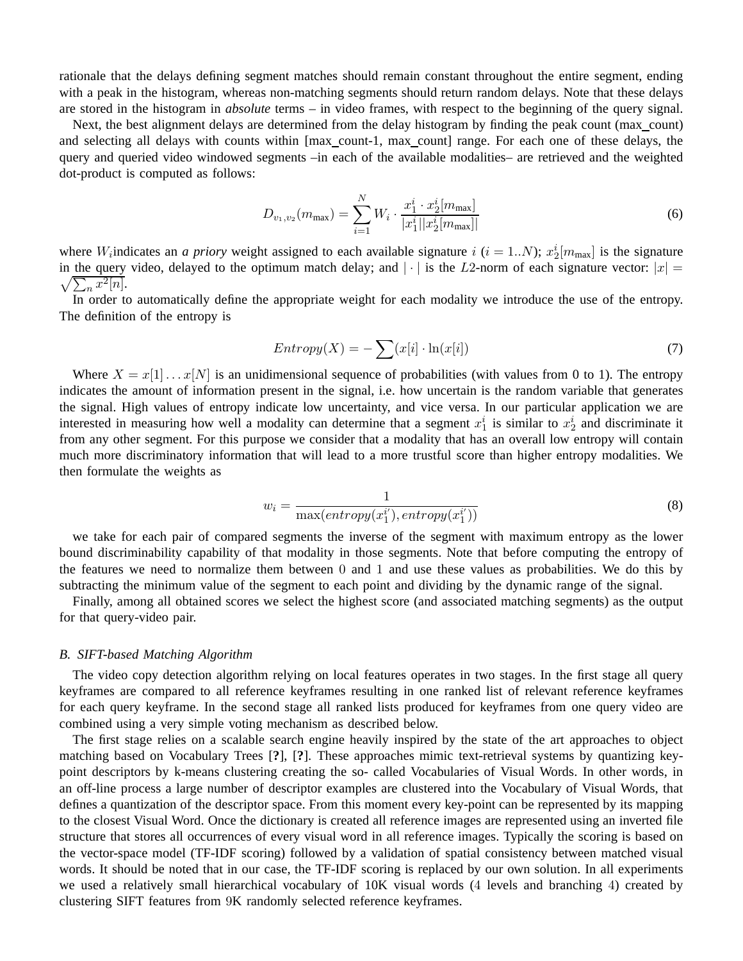rationale that the delays defining segment matches should remain constant throughout the entire segment, ending with a peak in the histogram, whereas non-matching segments should return random delays. Note that these delays are stored in the histogram in *absolute* terms – in video frames, with respect to the beginning of the query signal.

Next, the best alignment delays are determined from the delay histogram by finding the peak count (max\_count) and selecting all delays with counts within [max\_count-1, max\_count] range. For each one of these delays, the query and queried video windowed segments –in each of the available modalities– are retrieved and the weighted dot-product is computed as follows:

$$
D_{v_1, v_2}(m_{\max}) = \sum_{i=1}^{N} W_i \cdot \frac{x_1^i \cdot x_2^i[m_{\max}]}{|x_1^i||x_2^i[m_{\max}]|}
$$
(6)

where *W*<sub>i</sub> indicates an *a priory* weight assigned to each available signature *i* (*i* = 1..*N*);  $x_2^i[m_{\text{max}}]$  is the signature in the query video, delayed to the optimum match delay; and  $|\cdot|$  is the L2-norm of each signature vector:  $|x| =$  $\sqrt{\sum_n x^2[n]}.$ 

In order to automatically define the appropriate weight for each modality we introduce the use of the entropy. The definition of the entropy is

$$
Entropy(X) = -\sum (x[i] \cdot \ln(x[i]) \tag{7}
$$

Where  $X = x[1] \dots x[N]$  is an unidimensional sequence of probabilities (with values from 0 to 1). The entropy indicates the amount of information present in the signal, i.e. how uncertain is the random variable that generates the signal. High values of entropy indicate low uncertainty, and vice versa. In our particular application we are interested in measuring how well a modality can determine that a segment  $x_1^i$  is similar to  $x_2^i$  and discriminate it from any other segment. For this purpose we consider that a modality that has an overall low entropy will contain much more discriminatory information that will lead to a more trustful score than higher entropy modalities. We then formulate the weights as

$$
w_i = \frac{1}{\max(entropy(x_1^{i'}), entropy(x_1^{i'}))}
$$
\n(8)

we take for each pair of compared segments the inverse of the segment with maximum entropy as the lower bound discriminability capability of that modality in those segments. Note that before computing the entropy of the features we need to normalize them between 0 and 1 and use these values as probabilities. We do this by subtracting the minimum value of the segment to each point and dividing by the dynamic range of the signal.

Finally, among all obtained scores we select the highest score (and associated matching segments) as the output for that query-video pair.

## *B. SIFT-based Matching Algorithm*

The video copy detection algorithm relying on local features operates in two stages. In the first stage all query keyframes are compared to all reference keyframes resulting in one ranked list of relevant reference keyframes for each query keyframe. In the second stage all ranked lists produced for keyframes from one query video are combined using a very simple voting mechanism as described below.

The first stage relies on a scalable search engine heavily inspired by the state of the art approaches to object matching based on Vocabulary Trees [**?**], [**?**]. These approaches mimic text-retrieval systems by quantizing keypoint descriptors by k-means clustering creating the so- called Vocabularies of Visual Words. In other words, in an off-line process a large number of descriptor examples are clustered into the Vocabulary of Visual Words, that defines a quantization of the descriptor space. From this moment every key-point can be represented by its mapping to the closest Visual Word. Once the dictionary is created all reference images are represented using an inverted file structure that stores all occurrences of every visual word in all reference images. Typically the scoring is based on the vector-space model (TF-IDF scoring) followed by a validation of spatial consistency between matched visual words. It should be noted that in our case, the TF-IDF scoring is replaced by our own solution. In all experiments we used a relatively small hierarchical vocabulary of 10K visual words (4 levels and branching 4) created by clustering SIFT features from 9K randomly selected reference keyframes.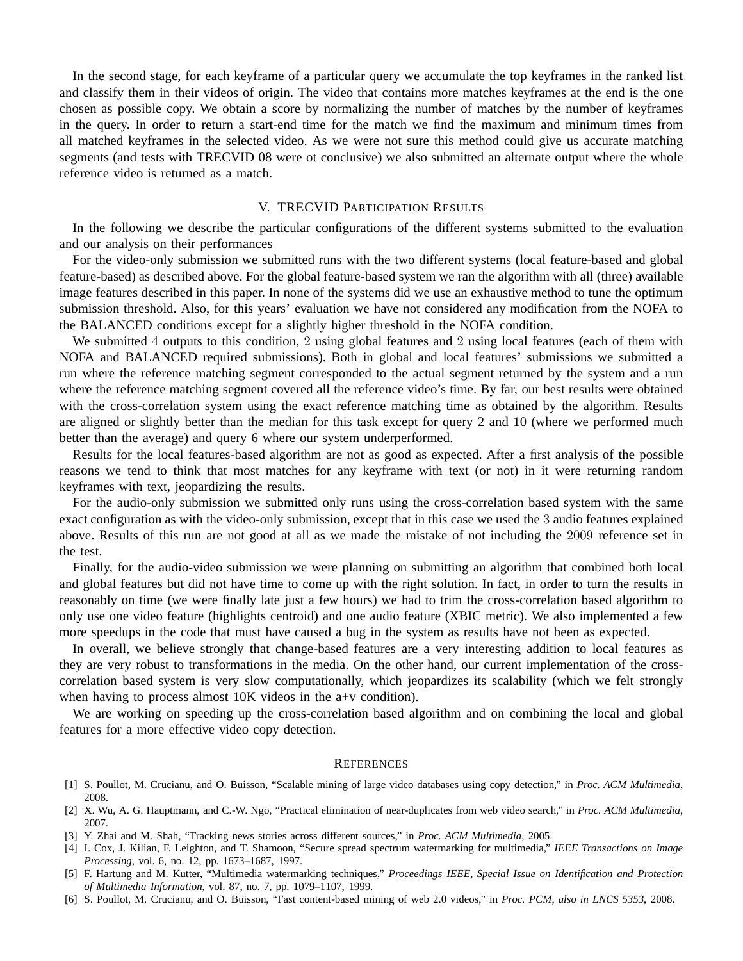In the second stage, for each keyframe of a particular query we accumulate the top keyframes in the ranked list and classify them in their videos of origin. The video that contains more matches keyframes at the end is the one chosen as possible copy. We obtain a score by normalizing the number of matches by the number of keyframes in the query. In order to return a start-end time for the match we find the maximum and minimum times from all matched keyframes in the selected video. As we were not sure this method could give us accurate matching segments (and tests with TRECVID 08 were ot conclusive) we also submitted an alternate output where the whole reference video is returned as a match.

## V. TRECVID PARTICIPATION RESULTS

In the following we describe the particular configurations of the different systems submitted to the evaluation and our analysis on their performances

For the video-only submission we submitted runs with the two different systems (local feature-based and global feature-based) as described above. For the global feature-based system we ran the algorithm with all (three) available image features described in this paper. In none of the systems did we use an exhaustive method to tune the optimum submission threshold. Also, for this years' evaluation we have not considered any modification from the NOFA to the BALANCED conditions except for a slightly higher threshold in the NOFA condition.

We submitted 4 outputs to this condition, 2 using global features and 2 using local features (each of them with NOFA and BALANCED required submissions). Both in global and local features' submissions we submitted a run where the reference matching segment corresponded to the actual segment returned by the system and a run where the reference matching segment covered all the reference video's time. By far, our best results were obtained with the cross-correlation system using the exact reference matching time as obtained by the algorithm. Results are aligned or slightly better than the median for this task except for query 2 and 10 (where we performed much better than the average) and query 6 where our system underperformed.

Results for the local features-based algorithm are not as good as expected. After a first analysis of the possible reasons we tend to think that most matches for any keyframe with text (or not) in it were returning random keyframes with text, jeopardizing the results.

For the audio-only submission we submitted only runs using the cross-correlation based system with the same exact configuration as with the video-only submission, except that in this case we used the 3 audio features explained above. Results of this run are not good at all as we made the mistake of not including the 2009 reference set in the test.

Finally, for the audio-video submission we were planning on submitting an algorithm that combined both local and global features but did not have time to come up with the right solution. In fact, in order to turn the results in reasonably on time (we were finally late just a few hours) we had to trim the cross-correlation based algorithm to only use one video feature (highlights centroid) and one audio feature (XBIC metric). We also implemented a few more speedups in the code that must have caused a bug in the system as results have not been as expected.

In overall, we believe strongly that change-based features are a very interesting addition to local features as they are very robust to transformations in the media. On the other hand, our current implementation of the crosscorrelation based system is very slow computationally, which jeopardizes its scalability (which we felt strongly when having to process almost 10K videos in the a+v condition).

We are working on speeding up the cross-correlation based algorithm and on combining the local and global features for a more effective video copy detection.

#### **REFERENCES**

- [1] S. Poullot, M. Crucianu, and O. Buisson, "Scalable mining of large video databases using copy detection," in *Proc. ACM Multimedia*, 2008.
- [2] X. Wu, A. G. Hauptmann, and C.-W. Ngo, "Practical elimination of near-duplicates from web video search," in *Proc. ACM Multimedia*, 2007.
- [3] Y. Zhai and M. Shah, "Tracking news stories across different sources," in *Proc. ACM Multimedia*, 2005.
- [4] I. Cox, J. Kilian, F. Leighton, and T. Shamoon, "Secure spread spectrum watermarking for multimedia," *IEEE Transactions on Image Processing*, vol. 6, no. 12, pp. 1673–1687, 1997.
- [5] F. Hartung and M. Kutter, "Multimedia watermarking techniques," *Proceedings IEEE, Special Issue on Identification and Protection of Multimedia Information*, vol. 87, no. 7, pp. 1079–1107, 1999.
- [6] S. Poullot, M. Crucianu, and O. Buisson, "Fast content-based mining of web 2.0 videos," in *Proc. PCM, also in LNCS 5353*, 2008.